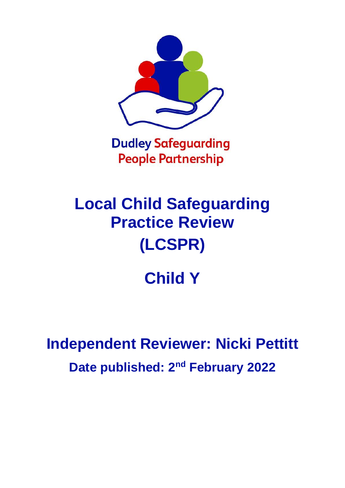

**Dudley Safeguarding People Partnership** 

# **Local Child Safeguarding Practice Review (LCSPR)**

# **Child Y**

# **Independent Reviewer: Nicki Pettitt Date published: 2<sup>nd</sup> February 2022**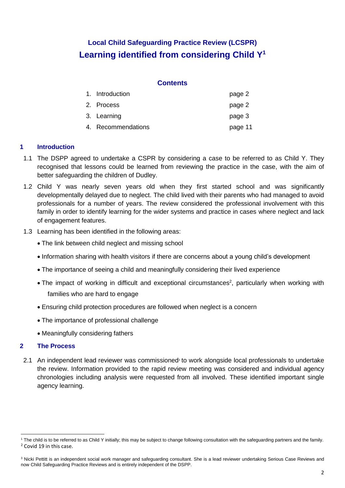# **Local Child Safeguarding Practice Review (LCSPR) Learning identified from considering Child Y<sup>1</sup>**

#### **Contents**

| 1. Introduction    | page 2  |
|--------------------|---------|
| 2. Process         | page 2  |
| 3. Learning        | page 3  |
| 4. Recommendations | page 11 |

### **1 Introduction**

- 1.1 The DSPP agreed to undertake a CSPR by considering a case to be referred to as Child Y. They recognised that lessons could be learned from reviewing the practice in the case, with the aim of better safeguarding the children of Dudley.
- 1.2 Child Y was nearly seven years old when they first started school and was significantly developmentally delayed due to neglect. The child lived with their parents who had managed to avoid professionals for a number of years. The review considered the professional involvement with this family in order to identify learning for the wider systems and practice in cases where neglect and lack of engagement features.
- 1.3 Learning has been identified in the following areas:
	- The link between child neglect and missing school
	- Information sharing with health visitors if there are concerns about a young child's development
	- The importance of seeing a child and meaningfully considering their lived experience
	- The impact of working in difficult and exceptional circumstances<sup>2</sup>, particularly when working with families who are hard to engage
	- Ensuring child protection procedures are followed when neglect is a concern
	- The importance of professional challenge
	- Meaningfully considering fathers

### **2 The Process**

2.1 An independent lead reviewer was commissioned<sup>3</sup> to work alongside local professionals to undertake the review. Information provided to the rapid review meeting was considered and individual agency chronologies including analysis were requested from all involved. These identified important single agency learning.

<sup>&</sup>lt;sup>1</sup> The child is to be referred to as Child Y initially; this may be subject to change following consultation with the safeguarding partners and the family. <sup>2</sup> Covid 19 in this case.

<sup>&</sup>lt;sup>3</sup> Nicki Pettitt is an independent social work manager and safeguarding consultant. She is a lead reviewer undertaking Serious Case Reviews and now Child Safeguarding Practice Reviews and is entirely independent of the DSPP.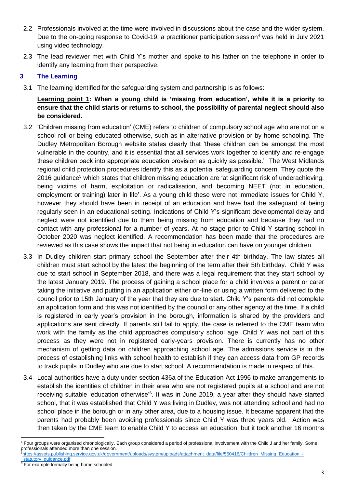- 2.2 Professionals involved at the time were involved in discussions about the case and the wider system. Due to the on-going response to Covid-19, a practitioner participation session<sup>4</sup> was held in July 2021 using video technology.
- 2.3 The lead reviewer met with Child Y's mother and spoke to his father on the telephone in order to identify any learning from their perspective.

# **3 The Learning**

3.1 The learning identified for the safeguarding system and partnership is as follows:

**Learning point 1: When a young child is 'missing from education', while it is a priority to ensure that the child starts or returns to school, the possibility of parental neglect should also be considered.**

- 3.2 'Children missing from education' (CME) refers to children of compulsory school age who are not on a school roll or being educated otherwise, such as in alternative provision or by home schooling. The Dudley Metropolitan Borough website states clearly that 'these children can be amongst the most vulnerable in the country, and it is essential that all services work together to identify and re-engage these children back into appropriate education provision as quickly as possible.' The West Midlands regional child protection procedures identify this as a potential safeguarding concern. They quote the 2016 guidance<sup>5</sup> which states that children missing education are 'at significant risk of underachieving, being victims of harm, exploitation or radicalisation, and becoming NEET (not in education, employment or training) later in life'. As a young child these were not immediate issues for Child Y, however they should have been in receipt of an education and have had the safeguard of being regularly seen in an educational setting. Indications of Child Y's significant developmental delay and neglect were not identified due to them being missing from education and because they had no contact with any professional for a number of years. At no stage prior to Child Y starting school in October 2020 was neglect identified. A recommendation has been made that the procedures are reviewed as this case shows the impact that not being in education can have on younger children.
- 3.3 In Dudley children start primary school the September after their 4th birthday. The law states all children must start school by the latest the beginning of the term after their 5th birthday. Child Y was due to start school in September 2018, and there was a legal requirement that they start school by the latest January 2019. The process of gaining a school place for a child involves a parent or carer taking the initiative and putting in an application either on-line or using a written form delivered to the council prior to 15th January of the year that they are due to start. Child Y's parents did not complete an application form and this was not identified by the council or any other agency at the time. If a child is registered in early year's provision in the borough, information is shared by the providers and applications are sent directly. If parents still fail to apply, the case is referred to the CME team who work with the family as the child approaches compulsory school age. Child Y was not part of this process as they were not in registered early-years provision. There is currently has no other mechanism of getting data on children approaching school age. The admissions service is in the process of establishing links with school health to establish if they can access data from GP records to track pupils in Dudley who are due to start school. A recommendation is made in respect of this.
- 3.4 Local authorities have a duty under section 436a of the Education Act 1996 to make arrangements to establish the identities of children in their area who are not registered pupils at a school and are not receiving suitable 'education otherwise'<sup>6</sup>. It was in June 2019, a year after they should have started school, that it was established that Child Y was living in Dudley, was not attending school and had no school place in the borough or in any other area, due to a housing issue. It became apparent that the parents had probably been avoiding professionals since Child Y was three years old. Action was then taken by the CME team to enable Child Y to access an education, but it took another 16 months

- 5[https://assets.publishing.service.gov.uk/government/uploads/system/uploads/attachment\\_data/file/550416/Children\\_Missing\\_Education\\_-](https://assets.publishing.service.gov.uk/government/uploads/system/uploads/attachment_data/file/550416/Children_Missing_Education_-_statutory_guidance.pdf)
- statutory quidance.pdf

<sup>4</sup> Four groups were organised chronologically. Each group considered a period of professional involvement with the Child J and her family. Some professionals attended more than one session.

 $6$  For example formally being home schooled.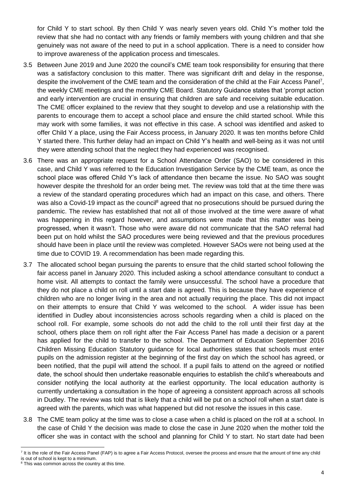for Child Y to start school. By then Child Y was nearly seven years old. Child Y's mother told the review that she had no contact with any friends or family members with young children and that she genuinely was not aware of the need to put in a school application. There is a need to consider how to improve awareness of the application process and timescales.

- 3.5 Between June 2019 and June 2020 the council's CME team took responsibility for ensuring that there was a satisfactory conclusion to this matter. There was significant drift and delay in the response, despite the involvement of the CME team and the consideration of the child at the Fair Access Panel<sup>7</sup>, the weekly CME meetings and the monthly CME Board. Statutory Guidance states that 'prompt action and early intervention are crucial in ensuring that children are safe and receiving suitable education. The CME officer explained to the review that they sought to develop and use a relationship with the parents to encourage them to accept a school place and ensure the child started school. While this may work with some families, it was not effective in this case. A school was identified and asked to offer Child Y a place, using the Fair Access process, in January 2020. It was ten months before Child Y started there. This further delay had an impact on Child Y's health and well-being as it was not until they were attending school that the neglect they had experienced was recognised.
- 3.6 There was an appropriate request for a School Attendance Order (SAO) to be considered in this case, and Child Y was referred to the Education Investigation Service by the CME team, as once the school place was offered Child Y's lack of attendance then became the issue. No SAO was sought however despite the threshold for an order being met. The review was told that at the time there was a review of the standard operating procedures which had an impact on this case, and others. There was also a Covid-19 impact as the council<sup>8</sup> agreed that no prosecutions should be pursued during the pandemic. The review has established that not all of those involved at the time were aware of what was happening in this regard however, and assumptions were made that this matter was being progressed, when it wasn't. Those who were aware did not communicate that the SAO referral had been put on hold whilst the SAO procedures were being reviewed and that the previous procedures should have been in place until the review was completed. However SAOs were not being used at the time due to COVID 19. A recommendation has been made regarding this.
- 3.7 The allocated school began pursuing the parents to ensure that the child started school following the fair access panel in January 2020. This included asking a school attendance consultant to conduct a home visit. All attempts to contact the family were unsuccessful. The school have a procedure that they do not place a child on roll until a start date is agreed. This is because they have experience of children who are no longer living in the area and not actually requiring the place. This did not impact on their attempts to ensure that Child Y was welcomed to the school. A wider issue has been identified in Dudley about inconsistencies across schools regarding when a child is placed on the school roll. For example, some schools do not add the child to the roll until their first day at the school, others place them on roll right after the Fair Access Panel has made a decision or a parent has applied for the child to transfer to the school. The Department of Education September 2016 Children Missing Education Statutory guidance for local authorities states that schools must enter pupils on the admission register at the beginning of the first day on which the school has agreed, or been notified, that the pupil will attend the school. If a pupil fails to attend on the agreed or notified date, the school should then undertake reasonable enquiries to establish the child's whereabouts and consider notifying the local authority at the earliest opportunity. The local education authority is currently undertaking a consultation in the hope of agreeing a consistent approach across all schools in Dudley. The review was told that is likely that a child will be put on a school roll when a start date is agreed with the parents, which was what happened but did not resolve the issues in this case.
- 3.8 The CME team policy at the time was to close a case when a child is placed on the roll at a school. In the case of Child Y the decision was made to close the case in June 2020 when the mother told the officer she was in contact with the school and planning for Child Y to start. No start date had been

<sup>&</sup>lt;sup>7</sup> It is the role of the Fair Access Panel (FAP) is to agree a Fair Access Protocol, oversee the process and ensure that the amount of time any child is out of school is kept to a minimum.

<sup>&</sup>lt;sup>8</sup> This was common across the country at this time.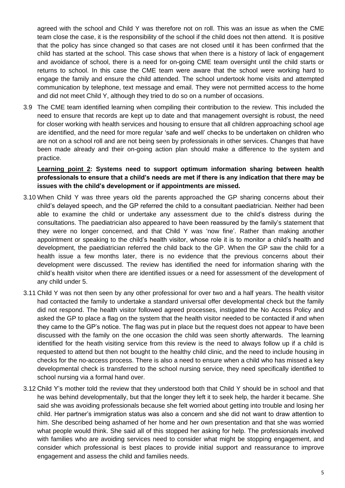agreed with the school and Child Y was therefore not on roll. This was an issue as when the CME team close the case, it is the responsibility of the school if the child does not then attend. It is positive that the policy has since changed so that cases are not closed until it has been confirmed that the child has started at the school. This case shows that when there is a history of lack of engagement and avoidance of school, there is a need for on-going CME team oversight until the child starts or returns to school. In this case the CME team were aware that the school were working hard to engage the family and ensure the child attended. The school undertook home visits and attempted communication by telephone, text message and email. They were not permitted access to the home and did not meet Child Y, although they tried to do so on a number of occasions.

3.9 The CME team identified learning when compiling their contribution to the review. This included the need to ensure that records are kept up to date and that management oversight is robust, the need for closer working with health services and housing to ensure that all children approaching school age are identified, and the need for more regular 'safe and well' checks to be undertaken on children who are not on a school roll and are not being seen by professionals in other services. Changes that have been made already and their on-going action plan should make a difference to the system and practice.

**Learning point 2: Systems need to support optimum information sharing between health professionals to ensure that a child's needs are met if there is any indication that there may be issues with the child's development or if appointments are missed.**

- 3.10 When Child Y was three years old the parents approached the GP sharing concerns about their child's delayed speech, and the GP referred the child to a consultant paediatrician. Neither had been able to examine the child or undertake any assessment due to the child's distress during the consultations. The paediatrician also appeared to have been reassured by the family's statement that they were no longer concerned, and that Child Y was 'now fine'. Rather than making another appointment or speaking to the child's health visitor, whose role it is to monitor a child's health and development, the paediatrician referred the child back to the GP. When the GP saw the child for a health issue a few months later, there is no evidence that the previous concerns about their development were discussed. The review has identified the need for information sharing with the child's health visitor when there are identified issues or a need for assessment of the development of any child under 5.
- 3.11 Child Y was not then seen by any other professional for over two and a half years. The health visitor had contacted the family to undertake a standard universal offer developmental check but the family did not respond. The health visitor followed agreed processes, instigated the No Access Policy and asked the GP to place a flag on the system that the health visitor needed to be contacted if and when they came to the GP's notice. The flag was put in place but the request does not appear to have been discussed with the family on the one occasion the child was seen shortly afterwards. The learning identified for the heath visiting service from this review is the need to always follow up if a child is requested to attend but then not bought to the healthy child clinic, and the need to include housing in checks for the no-access process. There is also a need to ensure when a child who has missed a key developmental check is transferred to the school nursing service, they need specifically identified to school nursing via a formal hand over.
- 3.12 Child Y's mother told the review that they understood both that Child Y should be in school and that he was behind developmentally, but that the longer they left it to seek help, the harder it became. She said she was avoiding professionals because she felt worried about getting into trouble and losing her child. Her partner's immigration status was also a concern and she did not want to draw attention to him. She described being ashamed of her home and her own presentation and that she was worried what people would think. She said all of this stopped her asking for help. The professionals involved with families who are avoiding services need to consider what might be stopping engagement, and consider which professional is best places to provide initial support and reassurance to improve engagement and assess the child and families needs.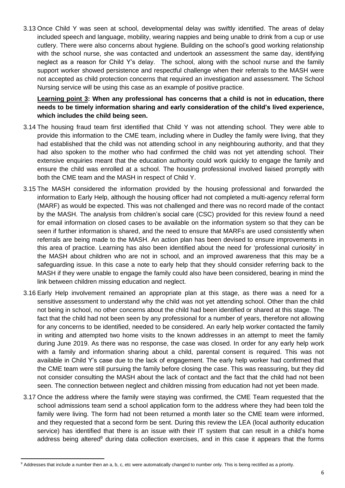3.13 Once Child Y was seen at school, developmental delay was swiftly identified. The areas of delay included speech and language, mobility, wearing nappies and being unable to drink from a cup or use cutlery. There were also concerns about hygiene. Building on the school's good working relationship with the school nurse, she was contacted and undertook an assessment the same day, identifying neglect as a reason for Child Y's delay. The school, along with the school nurse and the family support worker showed persistence and respectful challenge when their referrals to the MASH were not accepted as child protection concerns that required an investigation and assessment. The School Nursing service will be using this case as an example of positive practice.

**Learning point 3: When any professional has concerns that a child is not in education, there needs to be timely information sharing and early consideration of the child's lived experience, which includes the child being seen.**

- 3.14 The housing fraud team first identified that Child Y was not attending school. They were able to provide this information to the CME team, including where in Dudley the family were living, that they had established that the child was not attending school in any neighbouring authority, and that they had also spoken to the mother who had confirmed the child was not yet attending school. Their extensive enquiries meant that the education authority could work quickly to engage the family and ensure the child was enrolled at a school. The housing professional involved liaised promptly with both the CME team and the MASH in respect of Child Y.
- 3.15 The MASH considered the information provided by the housing professional and forwarded the information to Early Help, although the housing officer had not completed a multi-agency referral form (MARF) as would be expected. This was not challenged and there was no record made of the contact by the MASH. The analysis from children's social care (CSC) provided for this review found a need for email information on closed cases to be available on the information system so that they can be seen if further information is shared, and the need to ensure that MARFs are used consistently when referrals are being made to the MASH. An action plan has been devised to ensure improvements in this area of practice. Learning has also been identified about the need for 'professional curiosity' in the MASH about children who are not in school, and an improved awareness that this may be a safeguarding issue. In this case a note to early help that they should consider referring back to the MASH if they were unable to engage the family could also have been considered, bearing in mind the link between children missing education and neglect.
- 3.16 Early Help involvement remained an appropriate plan at this stage, as there was a need for a sensitive assessment to understand why the child was not yet attending school. Other than the child not being in school, no other concerns about the child had been identified or shared at this stage. The fact that the child had not been seen by any professional for a number of years, therefore not allowing for any concerns to be identified, needed to be considered. An early help worker contacted the family in writing and attempted two home visits to the known addresses in an attempt to meet the family during June 2019. As there was no response, the case was closed. In order for any early help work with a family and information sharing about a child, parental consent is required. This was not available in Child Y's case due to the lack of engagement. The early help worker had confirmed that the CME team were still pursuing the family before closing the case. This was reassuring, but they did not consider consulting the MASH about the lack of contact and the fact that the child had not been seen. The connection between neglect and children missing from education had not yet been made.
- 3.17 Once the address where the family were staying was confirmed, the CME Team requested that the school admissions team send a school application form to the address where they had been told the family were living. The form had not been returned a month later so the CME team were informed, and they requested that a second form be sent. During this review the LEA (local authority education service) has identified that there is an issue with their IT system that can result in a child's home address being altered<sup>9</sup> during data collection exercises, and in this case it appears that the forms

<sup>&</sup>lt;sup>9</sup> Addresses that include a number then an a, b, c, etc were automatically changed to number only. This is being rectified as a priority.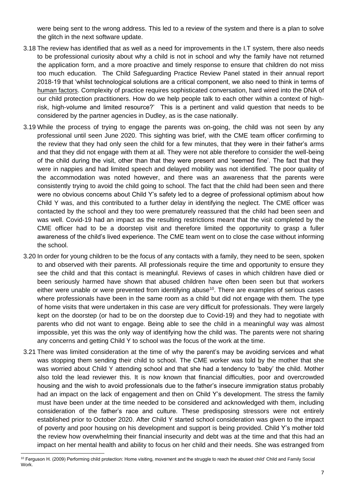were being sent to the wrong address. This led to a review of the system and there is a plan to solve the glitch in the next software update.

- 3.18 The review has identified that as well as a need for improvements in the I.T system, there also needs to be professional curiosity about why a child is not in school and why the family have not returned the application form, and a more proactive and timely response to ensure that children do not miss too much education. The Child Safeguarding Practice Review Panel stated in their annual report 2018-19 that 'whilst technological solutions are a critical component, we also need to think in terms of human factors. Complexity of practice requires sophisticated conversation, hard wired into the DNA of our child protection practitioners. How do we help people talk to each other within a context of highrisk, high-volume and limited resource?' This is a pertinent and valid question that needs to be considered by the partner agencies in Dudley, as is the case nationally.
- 3.19 While the process of trying to engage the parents was on-going, the child was not seen by any professional until seen June 2020. This sighting was brief, with the CME team officer confirming to the review that they had only seen the child for a few minutes, that they were in their father's arms and that they did not engage with them at all. They were not able therefore to consider the well-being of the child during the visit, other than that they were present and 'seemed fine'. The fact that they were in nappies and had limited speech and delayed mobility was not identified. The poor quality of the accommodation was noted however, and there was an awareness that the parents were consistently trying to avoid the child going to school. The fact that the child had been seen and there were no obvious concerns about Child Y's safety led to a degree of professional optimism about how Child Y was, and this contributed to a further delay in identifying the neglect. The CME officer was contacted by the school and they too were prematurely reassured that the child had been seen and was well. Covid-19 had an impact as the resulting restrictions meant that the visit completed by the CME officer had to be a doorstep visit and therefore limited the opportunity to grasp a fuller awareness of the child's lived experience. The CME team went on to close the case without informing the school.
- 3.20 In order for young children to be the focus of any contacts with a family, they need to be seen, spoken to and observed with their parents. All professionals require the time and opportunity to ensure they see the child and that this contact is meaningful. Reviews of cases in which children have died or been seriously harmed have shown that abused children have often been seen but that workers either were unable or were prevented from identifying abuse<sup>10</sup>. There are examples of serious cases where professionals have been in the same room as a child but did not engage with them. The type of home visits that were undertaken in this case are very difficult for professionals. They were largely kept on the doorstep (or had to be on the doorstep due to Covid-19) and they had to negotiate with parents who did not want to engage. Being able to see the child in a meaningful way was almost impossible, yet this was the only way of identifying how the child was. The parents were not sharing any concerns and getting Child Y to school was the focus of the work at the time.
- 3.21 There was limited consideration at the time of why the parent's may be avoiding services and what was stopping them sending their child to school. The CME worker was told by the mother that she was worried about Child Y attending school and that she had a tendency to 'baby' the child. Mother also told the lead reviewer this. It is now known that financial difficulties, poor and overcrowded housing and the wish to avoid professionals due to the father's insecure immigration status probably had an impact on the lack of engagement and then on Child Y's development. The stress the family must have been under at the time needed to be considered and acknowledged with them, including consideration of the father's race and culture. These predisposing stressors were not entirely established prior to October 2020. After Child Y started school consideration was given to the impact of poverty and poor housing on his development and support is being provided. Child Y's mother told the review how overwhelming their financial insecurity and debt was at the time and that this had an impact on her mental health and ability to focus on her child and their needs. She was estranged from

<sup>&</sup>lt;sup>10</sup> Ferguson H. (2009) Performing child protection: Home visiting, movement and the struggle to reach the abused child' Child and Family Social **Work**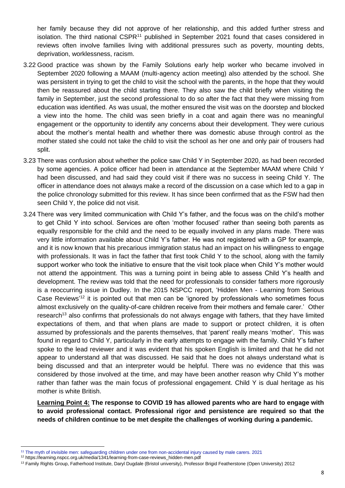her family because they did not approve of her relationship, and this added further stress and isolation. The third national CSPR<sup>11</sup> published in September 2021 found that cases considered in reviews often involve families living with additional pressures such as poverty, mounting debts, deprivation, worklessness, racism.

- 3.22 Good practice was shown by the Family Solutions early help worker who became involved in September 2020 following a MAAM (multi-agency action meeting) also attended by the school. She was persistent in trying to get the child to visit the school with the parents, in the hope that they would then be reassured about the child starting there. They also saw the child briefly when visiting the family in September, just the second professional to do so after the fact that they were missing from education was identified. As was usual, the mother ensured the visit was on the doorstep and blocked a view into the home. The child was seen briefly in a coat and again there was no meaningful engagement or the opportunity to identify any concerns about their development. They were curious about the mother's mental health and whether there was domestic abuse through control as the mother stated she could not take the child to visit the school as her one and only pair of trousers had split.
- 3.23 There was confusion about whether the police saw Child Y in September 2020, as had been recorded by some agencies. A police officer had been in attendance at the September MAAM where Child Y had been discussed, and had said they could visit if there was no success in seeing Child Y. The officer in attendance does not always make a record of the discussion on a case which led to a gap in the police chronology submitted for this review. It has since been confirmed that as the FSW had then seen Child Y, the police did not visit.
- 3.24 There was very limited communication with Child Y's father, and the focus was on the child's mother to get Child Y into school. Services are often 'mother focused' rather than seeing both parents as equally responsible for the child and the need to be equally involved in any plans made. There was very little information available about Child Y's father. He was not registered with a GP for example, and it is now known that his precarious immigration status had an impact on his willingness to engage with professionals. It was in fact the father that first took Child Y to the school, along with the family support worker who took the initiative to ensure that the visit took place when Child Y's mother would not attend the appointment. This was a turning point in being able to assess Child Y's health and development. The review was told that the need for professionals to consider fathers more rigorously is a reoccurring issue in Dudley. In the 2015 NSPCC report, 'Hidden Men - Learning from Serious Case Reviews<sup>'12</sup> it is pointed out that men can be 'ignored by professionals who sometimes focus almost exclusively on the quality-of-care children receive from their mothers and female carer.' Other research<sup>13</sup> also confirms that professionals do not always engage with fathers, that they have limited expectations of them, and that when plans are made to support or protect children, it is often assumed by professionals and the parents themselves, that 'parent' really means 'mother'. This was found in regard to Child Y, particularly in the early attempts to engage with the family. Child Y's father spoke to the lead reviewer and it was evident that his spoken English is limited and that he did not appear to understand all that was discussed. He said that he does not always understand what is being discussed and that an interpreter would be helpful. There was no evidence that this was considered by those involved at the time, and may have been another reason why Child Y's mother rather than father was the main focus of professional engagement. Child Y is dual heritage as his mother is white British.

**Learning Point 4: The response to COVID 19 has allowed parents who are hard to engage with to avoid professional contact. Professional rigor and persistence are required so that the needs of children continue to be met despite the challenges of working during a pandemic.**

<sup>11</sup> The myth of invisible men: safeguarding children under one from non-accidental injury caused by male carers. 2021

<sup>12</sup> https://learning.nspcc.org.uk/media/1341/learning-from-case-reviews\_hidden-men.pdf

<sup>13</sup> Family Rights Group, Fatherhood Institute, Daryl Dugdale (Bristol university), Professor Brigid Featherstone (Open University) 2012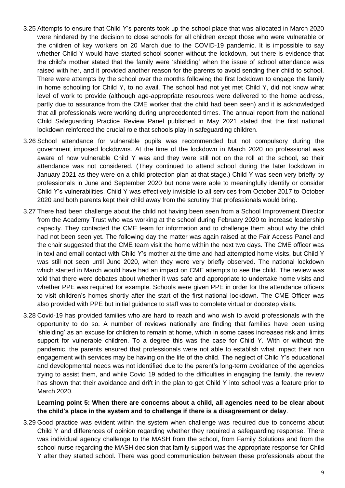- 3.25 Attempts to ensure that Child Y's parents took up the school place that was allocated in March 2020 were hindered by the decision to close schools for all children except those who were vulnerable or the children of key workers on 20 March due to the COVID-19 pandemic. It is impossible to say whether Child Y would have started school sooner without the lockdown, but there is evidence that the child's mother stated that the family were 'shielding' when the issue of school attendance was raised with her, and it provided another reason for the parents to avoid sending their child to school. There were attempts by the school over the months following the first lockdown to engage the family in home schooling for Child Y, to no avail. The school had not yet met Child Y, did not know what level of work to provide (although age-appropriate resources were delivered to the home address, partly due to assurance from the CME worker that the child had been seen) and it is acknowledged that all professionals were working during unprecedented times. The annual report from the national Child Safeguarding Practice Review Panel published in May 2021 stated that the first national lockdown reinforced the crucial role that schools play in safeguarding children.
- 3.26 School attendance for vulnerable pupils was recommended but not compulsory during the government imposed lockdowns. At the time of the lockdown in March 2020 no professional was aware of how vulnerable Child Y was and they were still not on the roll at the school, so their attendance was not considered. (They continued to attend school during the later lockdown in January 2021 as they were on a child protection plan at that stage.) Child Y was seen very briefly by professionals in June and September 2020 but none were able to meaningfully identify or consider Child Y's vulnerabilities. Child Y was effectively invisible to all services from October 2017 to October 2020 and both parents kept their child away from the scrutiny that professionals would bring.
- 3.27 There had been challenge about the child not having been seen from a School Improvement Director from the Academy Trust who was working at the school during February 2020 to increase leadership capacity. They contacted the CME team for information and to challenge them about why the child had not been seen yet. The following day the matter was again raised at the Fair Access Panel and the chair suggested that the CME team visit the home within the next two days. The CME officer was in text and email contact with Child Y's mother at the time and had attempted home visits, but Child Y was still not seen until June 2020, when they were very briefly observed. The national lockdown which started in March would have had an impact on CME attempts to see the child. The review was told that there were debates about whether it was safe and appropriate to undertake home visits and whether PPE was required for example. Schools were given PPE in order for the attendance officers to visit children's homes shortly after the start of the first national lockdown. The CME Officer was also provided with PPE but initial guidance to staff was to complete virtual or doorstep visits.
- 3.28 Covid-19 has provided families who are hard to reach and who wish to avoid professionals with the opportunity to do so. A number of reviews nationally are finding that families have been using 'shielding' as an excuse for children to remain at home, which in some cases increases risk and limits support for vulnerable children. To a degree this was the case for Child Y. With or without the pandemic, the parents ensured that professionals were not able to establish what impact their non engagement with services may be having on the life of the child. The neglect of Child Y's educational and developmental needs was not identified due to the parent's long-term avoidance of the agencies trying to assist them, and while Covid 19 added to the difficulties in engaging the family, the review has shown that their avoidance and drift in the plan to get Child Y into school was a feature prior to March 2020.

# **Learning point 5: When there are concerns about a child, all agencies need to be clear about the child's place in the system and to challenge if there is a disagreement or delay**.

3.29 Good practice was evident within the system when challenge was required due to concerns about Child Y and differences of opinion regarding whether they required a safeguarding response. There was individual agency challenge to the MASH from the school, from Family Solutions and from the school nurse regarding the MASH decision that family support was the appropriate response for Child Y after they started school. There was good communication between these professionals about the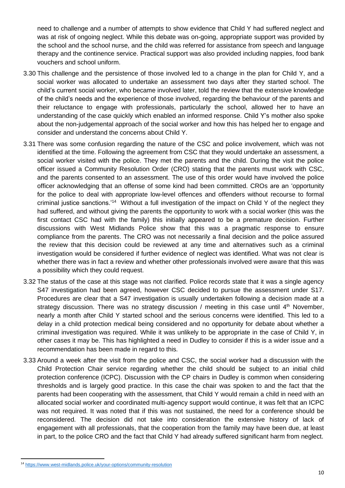need to challenge and a number of attempts to show evidence that Child Y had suffered neglect and was at risk of ongoing neglect. While this debate was on-going, appropriate support was provided by the school and the school nurse, and the child was referred for assistance from speech and language therapy and the continence service. Practical support was also provided including nappies, food bank vouchers and school uniform.

- 3.30 This challenge and the persistence of those involved led to a change in the plan for Child Y, and a social worker was allocated to undertake an assessment two days after they started school. The child's current social worker, who became involved later, told the review that the extensive knowledge of the child's needs and the experience of those involved, regarding the behaviour of the parents and their reluctance to engage with professionals, particularly the school, allowed her to have an understanding of the case quickly which enabled an informed response. Child Y's mother also spoke about the non-judgemental approach of the social worker and how this has helped her to engage and consider and understand the concerns about Child Y.
- 3.31 There was some confusion regarding the nature of the CSC and police involvement, which was not identified at the time. Following the agreement from CSC that they would undertake an assessment, a social worker visited with the police. They met the parents and the child. During the visit the police officer issued a Community Resolution Order (CRO) stating that the parents must work with CSC, and the parents consented to an assessment. The use of this order would have involved the police officer acknowledging that an offense of some kind had been committed. CROs are an 'opportunity for the police to deal with appropriate low-level offences and offenders without recourse to formal criminal justice sanctions.'<sup>14</sup> Without a full investigation of the impact on Child Y of the neglect they had suffered, and without giving the parents the opportunity to work with a social worker (this was the first contact CSC had with the family) this initially appeared to be a premature decision. Further discussions with West Midlands Police show that this was a pragmatic response to ensure compliance from the parents. The CRO was not necessarily a final decision and the police assured the review that this decision could be reviewed at any time and alternatives such as a criminal investigation would be considered if further evidence of neglect was identified. What was not clear is whether there was in fact a review and whether other professionals involved were aware that this was a possibility which they could request.
- 3.32 The status of the case at this stage was not clarified. Police records state that it was a single agency S47 investigation had been agreed, however CSC decided to pursue the assessment under S17. Procedures are clear that a S47 investigation is usually undertaken following a decision made at a strategy discussion. There was no strategy discussion / meeting in this case until  $4<sup>th</sup>$  November, nearly a month after Child Y started school and the serious concerns were identified. This led to a delay in a child protection medical being considered and no opportunity for debate about whether a criminal investigation was required. While it was unlikely to be appropriate in the case of Child Y, in other cases it may be. This has highlighted a need in Dudley to consider if this is a wider issue and a recommendation has been made in regard to this.
- 3.33 Around a week after the visit from the police and CSC, the social worker had a discussion with the Child Protection Chair service regarding whether the child should be subject to an initial child protection conference (ICPC). Discussion with the CP chairs in Dudley is common when considering thresholds and is largely good practice. In this case the chair was spoken to and the fact that the parents had been cooperating with the assessment, that Child Y would remain a child in need with an allocated social worker and coordinated multi-agency support would continue, it was felt that an ICPC was not required. It was noted that if this was not sustained, the need for a conference should be reconsidered. The decision did not take into consideration the extensive history of lack of engagement with all professionals, that the cooperation from the family may have been due, at least in part, to the police CRO and the fact that Child Y had already suffered significant harm from neglect.

<sup>14</sup> <https://www.west-midlands.police.uk/your-options/community-resolution>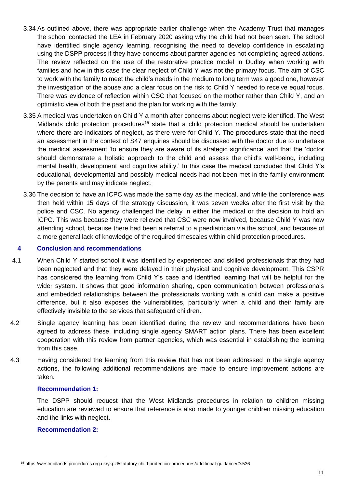- 3.34 As outlined above, there was appropriate earlier challenge when the Academy Trust that manages the school contacted the LEA in February 2020 asking why the child had not been seen. The school have identified single agency learning, recognising the need to develop confidence in escalating using the DSPP process if they have concerns about partner agencies not completing agreed actions. The review reflected on the use of the restorative practice model in Dudley when working with families and how in this case the clear neglect of Child Y was not the primary focus. The aim of CSC to work with the family to meet the child's needs in the medium to long term was a good one, however the investigation of the abuse and a clear focus on the risk to Child Y needed to receive equal focus. There was evidence of reflection within CSC that focused on the mother rather than Child Y, and an optimistic view of both the past and the plan for working with the family.
- 3.35 A medical was undertaken on Child Y a month after concerns about neglect were identified. The West Midlands child protection procedures<sup>15</sup> state that a child protection medical should be undertaken where there are indicators of neglect, as there were for Child Y. The procedures state that the need an assessment in the context of S47 enquiries should be discussed with the doctor due to undertake the medical assessment 'to ensure they are aware of its strategic significance' and that the 'doctor should demonstrate a holistic approach to the child and assess the child's well-being, including mental health, development and cognitive ability.' In this case the medical concluded that Child Y's educational, developmental and possibly medical needs had not been met in the family environment by the parents and may indicate neglect.
- 3.36 The decision to have an ICPC was made the same day as the medical, and while the conference was then held within 15 days of the strategy discussion, it was seven weeks after the first visit by the police and CSC. No agency challenged the delay in either the medical or the decision to hold an ICPC. This was because they were relieved that CSC were now involved, because Child Y was now attending school, because there had been a referral to a paediatrician via the school, and because of a more general lack of knowledge of the required timescales within child protection procedures.

### **4 Conclusion and recommendations**

- 4.1 When Child Y started school it was identified by experienced and skilled professionals that they had been neglected and that they were delayed in their physical and cognitive development. This CSPR has considered the learning from Child Y's case and identified learning that will be helpful for the wider system. It shows that good information sharing, open communication between professionals and embedded relationships between the professionals working with a child can make a positive difference, but it also exposes the vulnerabilities, particularly when a child and their family are effectively invisible to the services that safeguard children.
- 4.2 Single agency learning has been identified during the review and recommendations have been agreed to address these, including single agency SMART action plans. There has been excellent cooperation with this review from partner agencies, which was essential in establishing the learning from this case.
- 4.3 Having considered the learning from this review that has not been addressed in the single agency actions, the following additional recommendations are made to ensure improvement actions are taken.

#### **Recommendation 1:**

The DSPP should request that the West Midlands procedures in relation to children missing education are reviewed to ensure that reference is also made to younger children missing education and the links with neglect.

#### **Recommendation 2:**

<sup>15</sup> https://westmidlands.procedures.org.uk/ykpzl/statutory-child-protection-procedures/additional-guidance/#s536